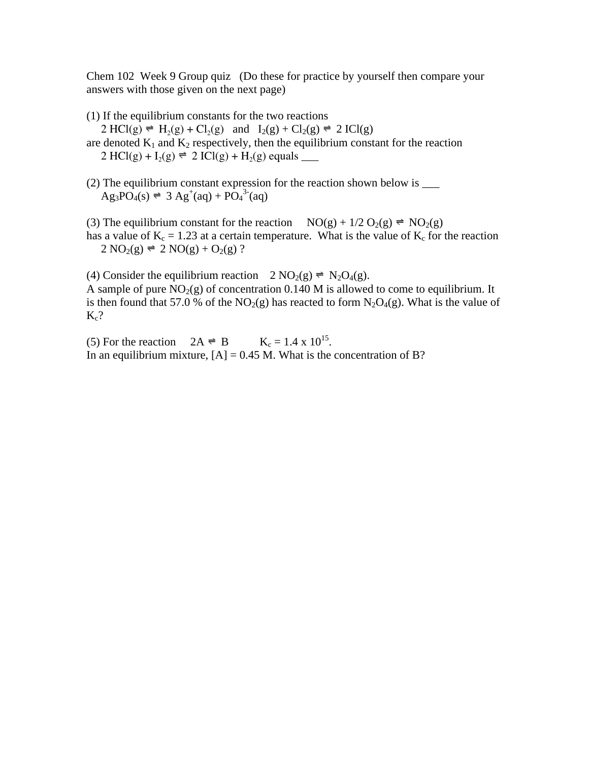Chem 102 Week 9 Group quiz (Do these for practice by yourself then compare your answers with those given on the next page)

(1) If the equilibrium constants for the two reactions

 $2 \text{ HCl}(g) \rightleftharpoons H_2(g) + Cl_2(g)$  and  $I_2(g) + Cl_2(g) \rightleftharpoons 2 \text{ ICl}(g)$ 

are denoted  $K_1$  and  $K_2$  respectively, then the equilibrium constant for the reaction  $2 \text{ HCl}(g) + I_2(g) = 2 \text{ ICI}(g) + H_2(g)$  equals \_\_\_\_\_

(2) The equilibrium constant expression for the reaction shown below is \_\_\_  $\text{Ag}_3\text{PO}_4(s) \rightleftharpoons 3 \text{Ag}^+(aq) + \text{PO}_4^{3-}(aq)$ 

(3) The equilibrium constant for the reaction  $NO(g) + 1/2 O_2(g) \rightleftharpoons NO_2(g)$ has a value of  $K_c = 1.23$  at a certain temperature. What is the value of  $K_c$  for the reaction  $2 \text{ NO}_2(g) = 2 \text{ NO}(g) + \text{O}_2(g)$ ?

(4) Consider the equilibrium reaction  $2 \text{ NO}_2(g) \neq \text{ N}_2\text{O}_4(g)$ . A sample of pure  $NO<sub>2</sub>(g)$  of concentration 0.140 M is allowed to come to equilibrium. It is then found that 57.0 % of the  $NO<sub>2</sub>(g)$  has reacted to form  $N<sub>2</sub>O<sub>4</sub>(g)$ . What is the value of  $K_c$ ?

(5) For the reaction  $2A \neq B$  K<sub>c</sub> = 1.4 x 10<sup>15</sup>. In an equilibrium mixture,  $[A] = 0.45$  M. What is the concentration of B?